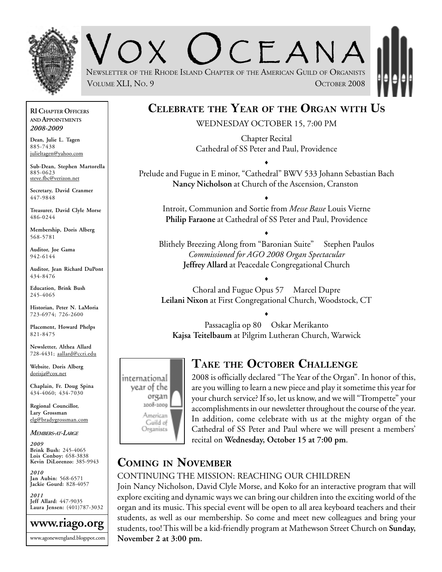

 $C<sub>F</sub> ANA$ NEWSLETTER OF THE RHODE ISLAND CHAPTER OF THE AMERICAN GUILD OF ORGANISTS VOLUME XLI, NO. 9 **OCTOBER 2008** 

# **CELEBRATE THE YEAR OF THE ORGAN WITH US**

WEDNESDAY OCTOBER 15, 7:00 PM

Chapter Recital Cathedral of SS Peter and Paul, Providence

Prelude and Fugue in E minor, "Cathedral" BWV 533 Johann Sebastian Bach **Nancy Nicholson** at Church of the Ascension, Cranston

♦

♦

Introit, Communion and Sortie from *Messe Basse* Louis Vierne **Philip Faraone** at Cathedral of SS Peter and Paul, Providence

Blithely Breezing Along from "Baronian Suite" Stephen Paulos *Commissioned for AGO 2008 Organ Spectacular* **Jeffrey Allard** at Peacedale Congregational Church

♦

Choral and Fugue Opus 57 Marcel Dupre **Leilani Nixon** at First Congregational Church, Woodstock, CT

♦

Passacaglia op 80 Oskar Merikanto **Kajsa Teitelbaum** at Pilgrim Lutheran Church, Warwick

♦



#### **TAKE THE OCTOBER CHALLENGE**

2008 is officially declared "The Year of the Organ". In honor of this, are you willing to learn a new piece and play it sometime this year for your church service? If so, let us know, and we will "Trompette" your accomplishments in our newsletter throughout the course of the year. In addition, come celebrate with us at the mighty organ of the Cathedral of SS Peter and Paul where we will present a members' recital on **Wednesday, October 15 at 7:00 pm**.

#### **COMING IN NOVEMBER**

#### CONTINUING THE MISSION: REACHING OUR CHILDREN

Join Nancy Nicholson, David Clyle Morse, and Koko for an interactive program that will explore exciting and dynamic ways we can bring our children into the exciting world of the organ and its music. This special event will be open to all area keyboard teachers and their students, as well as our membership. So come and meet new colleagues and bring your students, too! This will be a kid-friendly program at Mathewson Street Church on **Sunday, November 2 at 3:00 pm.**

**RI CHAPTER OFFICERS AND APPOINTMENTS** *2008-2009*

**Dean, Julie L. Tagen** 885-7438 julieltagen@yahoo.com

**Sub-Dean, Stephen Martorella** 885-0623 steve.fbc@verizon.net

**Secretary, David Cranmer** 447-9848

**Treasurer, David Clyle Morse** 486-0244

**Membership, Doris Alberg** 568-5781

**Auditor, Joe Gama** 942-6144

**Auditor, Jean Richard DuPont** 434-8476

**Education, Brink Bush** 245-4065

**Historian, Peter N. LaMoria** 723-6974; 726-2600

**Placement, Howard Phelps** 821-8475

**Newsletter, Althea Allard** 728-4431; aallard@ccri.edu

**Website**, **Doris Alberg** dorisja@cox.net

**Chaplain, Fr. Doug Spina** 434-4060; 434-7030

**Regional Councillor, Lary Grossman** elg@bradygrossman.com

*MEMBERS-AT-LARGE*

*2009* **Brink Bush:** 245-4065 **Lois Conboy:** 658-3838 **Kevin DiLorenzo:** 385-9943

*2010* **Jan Aubin:** 568-6571 **Jackie Gourd:** 828-4057

*2011* **Jeff Allard:** 447-9035 **Laura Jensen:** (401)787-3032

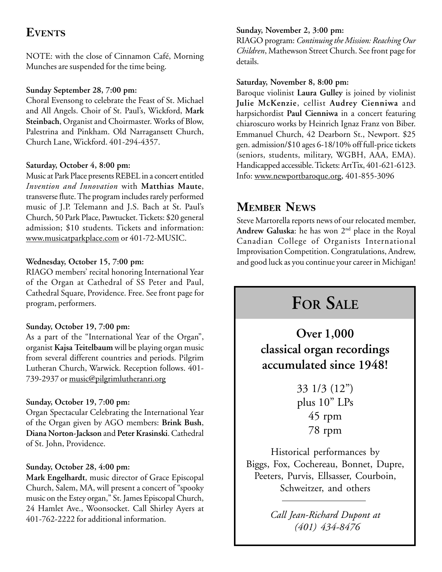### **EVENTS**

NOTE: with the close of Cinnamon Café, Morning Munches are suspended for the time being.

#### **Sunday September 28, 7:00 pm:**

Choral Evensong to celebrate the Feast of St. Michael and All Angels. Choir of St. Paul's, Wickford, **Mark Steinbach**, Organist and Choirmaster. Works of Blow, Palestrina and Pinkham. Old Narragansett Church, Church Lane, Wickford. 401-294-4357.

#### **Saturday, October 4, 8:00 pm:**

Music at Park Place presents REBEL in a concert entitled *Invention and Innovation* with **Matthias Maute**, transverse flute. The program includes rarely performed music of J.P. Telemann and J.S. Bach at St. Paul's Church, 50 Park Place, Pawtucket. Tickets: \$20 general admission; \$10 students. Tickets and information: www.musicatparkplace.com or 401-72-MUSIC.

#### **Wednesday, October 15, 7:00 pm:**

RIAGO members' recital honoring International Year of the Organ at Cathedral of SS Peter and Paul, Cathedral Square, Providence. Free. See front page for program, performers.

#### **Sunday, October 19, 7:00 pm:**

As a part of the "International Year of the Organ", organist **Kajsa Teitelbaum** will be playing organ music from several different countries and periods. Pilgrim Lutheran Church, Warwick. Reception follows. 401- 739-2937 or music@pilgrimlutheranri.org

#### **Sunday, October 19, 7:00 pm:**

Organ Spectacular Celebrating the International Year of the Organ given by AGO members: **Brink Bush**, **Diana Norton-Jackson** and **Peter Krasinski**. Cathedral of St. John, Providence.

#### **Sunday, October 28, 4:00 pm:**

**Mark Engelhardt**, music director of Grace Episcopal Church, Salem, MA, will present a concert of "spooky music on the Estey organ," St. James Episcopal Church, 24 Hamlet Ave., Woonsocket. Call Shirley Ayers at 401-762-2222 for additional information.

#### **Sunday, November 2, 3:00 pm:**

RIAGO program: *Continuing the Mission: Reaching Our Children*, Mathewson Street Church. See front page for details.

#### **Saturday, November 8, 8:00 pm:**

Baroque violinist **Laura Gulley** is joined by violinist **Julie McKenzie**, cellist **Audrey Cienniwa** and harpsichordist **Paul Cienniwa** in a concert featuring chiaroscuro works by Heinrich Ignaz Franz von Biber. Emmanuel Church, 42 Dearborn St., Newport. \$25 gen. admission/\$10 ages 6-18/10% off full-price tickets (seniors, students, military, WGBH, AAA, EMA). Handicapped accessible. Tickets: ArtTix, 401-621-6123. Info: www.newportbaroque.org, 401-855-3096

### **MEMBER NEWS**

Steve Martorella reports news of our relocated member, Andrew Galuska: he has won 2<sup>nd</sup> place in the Royal Canadian College of Organists International Improvisation Competition. Congratulations, Andrew, and good luck as you continue your career in Michigan!

# **FOR SALE**

**Over 1,000 classical organ recordings accumulated since 1948!**

> 33 1/3 (12") plus 10" LPs 45 rpm 78 rpm

Historical performances by Biggs, Fox, Cochereau, Bonnet, Dupre, Peeters, Purvis, Ellsasser, Courboin, Schweitzer, and others

> *Call Jean-Richard Dupont at (401) 434-8476*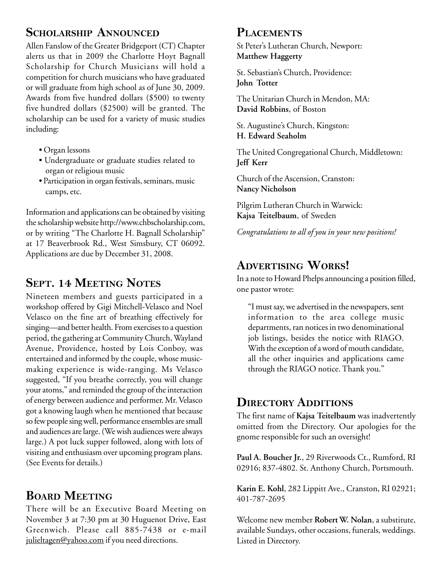### **SCHOLARSHIP ANNOUNCED**

Allen Fanslow of the Greater Bridgeport (CT) Chapter alerts us that in 2009 the Charlotte Hoyt Bagnall Scholarship for Church Musicians will hold a competition for church musicians who have graduated or will graduate from high school as of June 30, 2009. Awards from five hundred dollars (\$500) to twenty five hundred dollars (\$2500) will be granted. The scholarship can be used for a variety of music studies including:

- Organ lessons
- Undergraduate or graduate studies related to organ or religious music
- Participation in organ festivals, seminars, music camps, etc.

Information and applications can be obtained by visiting the scholarship website http://www.chbscholarship.com, or by writing "The Charlotte H. Bagnall Scholarship" at 17 Beaverbrook Rd., West Simsbury, CT 06092. Applications are due by December 31, 2008.

# **SEPT. 14 MEETING NOTES**

Nineteen members and guests participated in a workshop offered by Gigi Mitchell-Velasco and Noel Velasco on the fine art of breathing effectively for singing—and better health. From exercises to a question period, the gathering at Community Church, Wayland Avenue, Providence, hosted by Lois Conboy, was entertained and informed by the couple, whose musicmaking experience is wide-ranging. Ms Velasco suggested, "If you breathe correctly, you will change your atoms," and reminded the group of the interaction of energy between audience and performer. Mr. Velasco got a knowing laugh when he mentioned that because so few people sing well, performance ensembles are small and audiences are large. (We wish audiences were always large.) A pot luck supper followed, along with lots of visiting and enthusiasm over upcoming program plans. (See Events for details.)

# **BOARD MEETING**

There will be an Executive Board Meeting on November 3 at 7:30 pm at 30 Huguenot Drive, East Greenwich. Please call 885-7438 or e-mail julieltagen@yahoo.com if you need directions.

### **PLACEMENTS**

St Peter's Lutheran Church, Newport: **Matthew Haggerty**

St. Sebastian's Church, Providence: **John Totter**

The Unitarian Church in Mendon, MA: **David Robbins**, of Boston

St. Augustine's Church, Kingston: **H. Edward Seaholm**

The United Congregational Church, Middletown: **Jeff Kerr**

Church of the Ascension, Cranston: **Nancy Nicholson**

Pilgrim Lutheran Church in Warwick: **Kajsa Teitelbaum**, of Sweden

*Congratulations to all of you in your new positions!*

# **ADVERTISING WORKS!**

In a note to Howard Phelps announcing a position filled, one pastor wrote:

"I must say, we advertised in the newspapers, sent information to the area college music departments, ran notices in two denominational job listings, besides the notice with RIAGO. With the exception of a word of mouth candidate, all the other inquiries and applications came through the RIAGO notice. Thank you."

# **DIRECTORY ADDITIONS**

The first name of **Kajsa Teitelbaum** was inadvertently omitted from the Directory. Our apologies for the gnome responsible for such an oversight!

**Paul A. Boucher Jr.**, 29 Riverwoods Ct., Rumford, RI 02916; 837-4802. St. Anthony Church, Portsmouth.

**Karin E. Kohl**, 282 Lippitt Ave., Cranston, RI 02921; 401-787-2695

Welcome new member **Robert W. Nolan**, a substitute, available Sundays, other occasions, funerals, weddings. Listed in Directory.